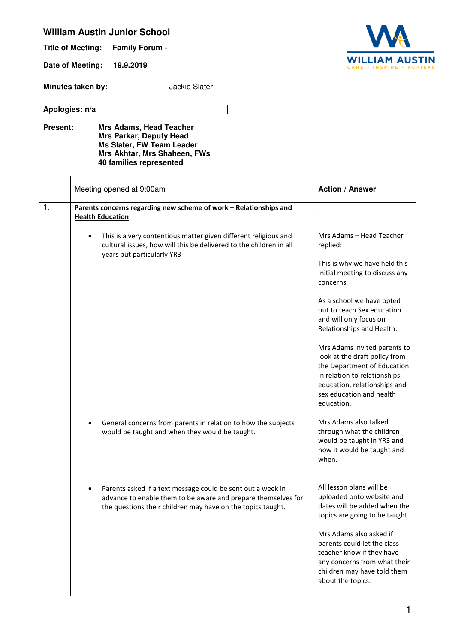## **William Austin Junior School**

**Title of Meeting: Family Forum -** 

**Date of Meeting: 19.9.2019** 



**Minutes taken by:** Jackie Slater

## **Apologies: n/a**

**Present: Mrs Adams, Head Teacher Mrs Parkar, Deputy Head Ms Slater, FW Team Leader Mrs Akhtar, Mrs Shaheen, FWs 40 families represented** 

|                | Meeting opened at 9:00am                                                                                                                                                                    | <b>Action / Answer</b>                                                                                                                                                                                 |
|----------------|---------------------------------------------------------------------------------------------------------------------------------------------------------------------------------------------|--------------------------------------------------------------------------------------------------------------------------------------------------------------------------------------------------------|
| $\mathbf{1}$ . | Parents concerns regarding new scheme of work - Relationships and<br><b>Health Education</b>                                                                                                |                                                                                                                                                                                                        |
|                | This is a very contentious matter given different religious and<br>cultural issues, how will this be delivered to the children in all<br>years but particularly YR3                         | Mrs Adams - Head Teacher<br>replied:                                                                                                                                                                   |
|                |                                                                                                                                                                                             | This is why we have held this<br>initial meeting to discuss any<br>concerns.                                                                                                                           |
|                |                                                                                                                                                                                             | As a school we have opted<br>out to teach Sex education<br>and will only focus on<br>Relationships and Health.                                                                                         |
|                |                                                                                                                                                                                             | Mrs Adams invited parents to<br>look at the draft policy from<br>the Department of Education<br>in relation to relationships<br>education, relationships and<br>sex education and health<br>education. |
|                | General concerns from parents in relation to how the subjects<br>would be taught and when they would be taught.                                                                             | Mrs Adams also talked<br>through what the children<br>would be taught in YR3 and<br>how it would be taught and<br>when.                                                                                |
|                | Parents asked if a text message could be sent out a week in<br>advance to enable them to be aware and prepare themselves for<br>the questions their children may have on the topics taught. | All lesson plans will be<br>uploaded onto website and<br>dates will be added when the<br>topics are going to be taught.                                                                                |
|                |                                                                                                                                                                                             | Mrs Adams also asked if<br>parents could let the class<br>teacher know if they have<br>any concerns from what their<br>children may have told them<br>about the topics.                                |